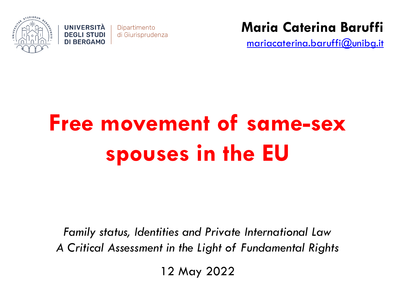



**Maria Caterina Baruffi**

mariacaterina.baruffi@unibg.it

# **Free movement of same-sex spouses in the EU**

*Family status, Identities and Private International Law A Critical Assessment in the Light of Fundamental Rights*

12 May 2022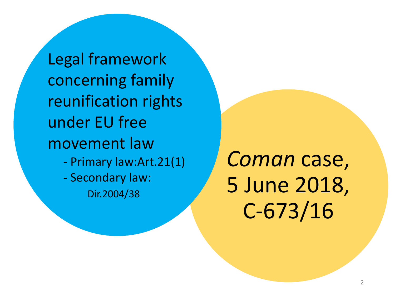Legal framework concerning family reunification rights under EU free movement law - Primary law:Art.21(1) - Secondary law: Dir.2004/38

*Coman* case, 5 June 2018, C-673/16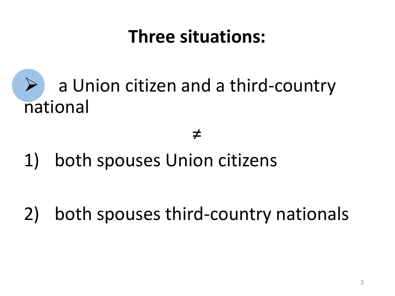### **Three situations:**

# a Union citizen and a third-country national

#### ≠

1) both spouses Union citizens

2) both spouses third-country nationals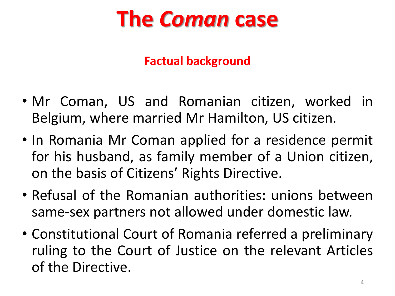# **The** *Coman* **case**

#### **Factual background**

- Mr Coman, US and Romanian citizen, worked in Belgium, where married Mr Hamilton, US citizen.
- In Romania Mr Coman applied for a residence permit for his husband, as family member of a Union citizen, on the basis of Citizens' Rights Directive.
- Refusal of the Romanian authorities: unions between same-sex partners not allowed under domestic law.
- Constitutional Court of Romania referred a preliminary ruling to the Court of Justice on the relevant Articles of the Directive.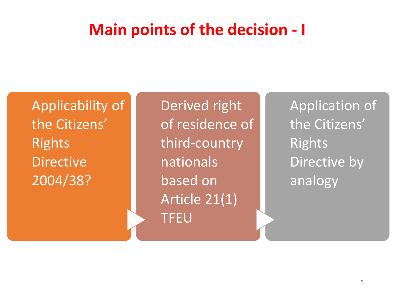#### **Main points of the decision - I**

<sup>1</sup>Applicability of the Citizens' Rights Directive 2004/38?

Derived right of residence of third-country nationals based on Article 21(1) TFEU

Application of the Citizens' Rights Directive by analogy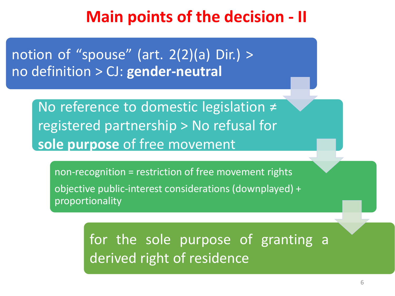#### **Main points of the decision - II**

notion of "spouse" (art.  $2(2)(a)$  Dir.) > no definition > CJ: **gender-neutral**

> No reference to domestic legislation ≠ registered partnership > No refusal for **sole purpose** of free movement

non-recognition = restriction of free movement rights objective public-interest considerations (downplayed) + proportionality

> for the sole purpose of granting a derived right of residence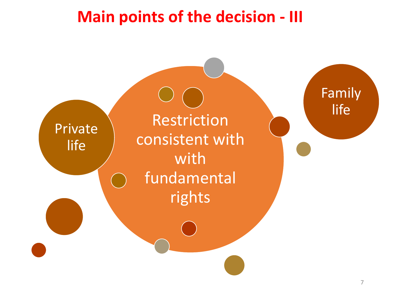#### **Main points of the decision - III**

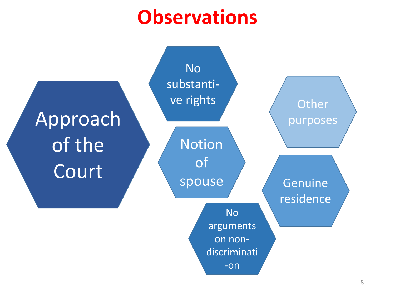# **Observations**

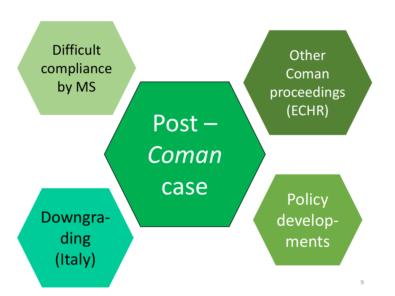